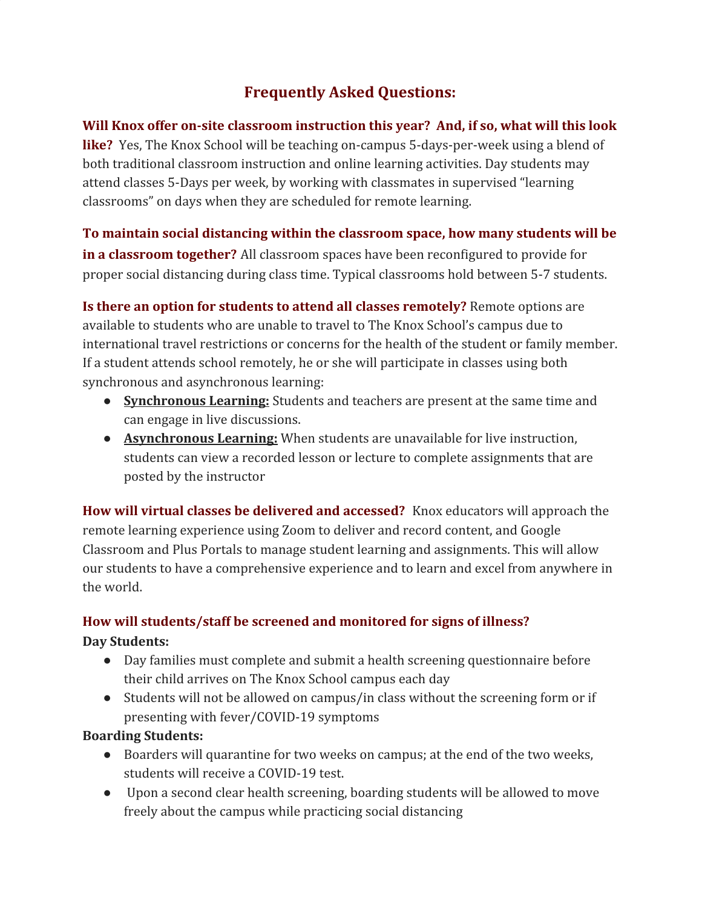# **Frequently Asked Questions:**

**Will Knox offer on-site classroom instruction this year? And, if so, what will this look like?** Yes, The Knox School will be teaching on-campus 5-days-per-week using a blend of both traditional classroom instruction and online learning activities. Day students may attend classes 5-Days per week, by working with classmates in supervised "learning classrooms" on days when they are scheduled for remote learning.

**To maintain social distancing within the classroom space, how many students will be in a classroom together?** All classroom spaces have been reconfigured to provide for proper social distancing during class time. Typical classrooms hold between 5-7 students.

**Is there an option for students to attend all classes remotely?** Remote options are available to students who are unable to travel to The Knox School's campus due to international travel restrictions or concerns for the health of the student or family member. If a student attends school remotely, he or she will participate in classes using both synchronous and asynchronous learning:

- **Synchronous Learning:** Students and teachers are present at the same time and can engage in live discussions.
- **Asynchronous Learning:** When students are unavailable for live instruction, students can view a recorded lesson or lecture to complete assignments that are posted by the instructor

**How will virtual classes be delivered and accessed?** Knox educators will approach the remote learning experience using Zoom to deliver and record content, and Google Classroom and Plus Portals to manage student learning and assignments. This will allow our students to have a comprehensive experience and to learn and excel from anywhere in the world.

## **How will students/staff be screened and monitored for signs of illness?**

#### **Day Students:**

- Day families must complete and submit a health screening questionnaire before their child arrives on The Knox School campus each day
- Students will not be allowed on campus/in class without the screening form or if presenting with fever/COVID-19 symptoms

#### **Boarding Students:**

- Boarders will quarantine for two weeks on campus; at the end of the two weeks, students will receive a COVID-19 test.
- Upon a second clear health screening, boarding students will be allowed to move freely about the campus while practicing social distancing